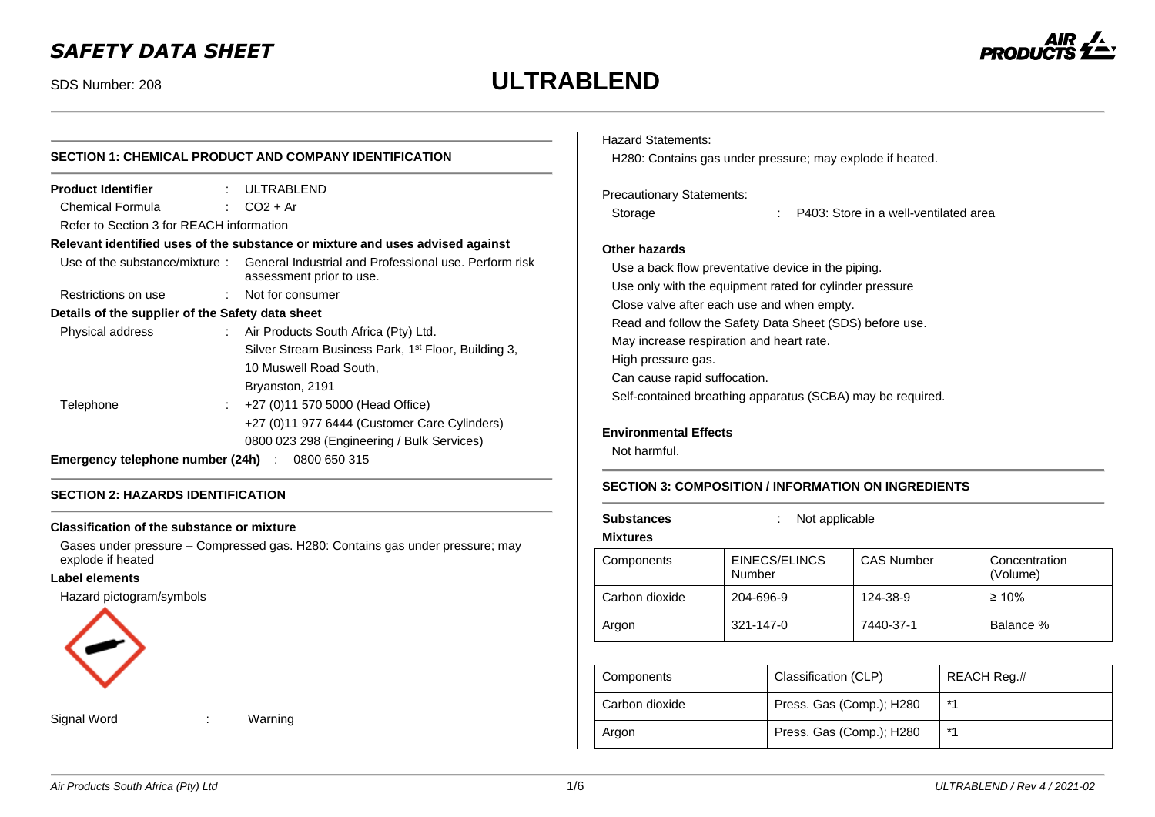# *SAFETY DATA SHEET*

# SDS Number: 208 **ULTRABLEND**



# **SECTION 1: CHEMICAL PRODUCT AND COMPANY IDENTIFICATION Product Identifier 1.1 TRABLEND** Chemical Formula : CO2 + Ar Refer to Section 3 for REACH information **Relevant identified uses of the substance or mixture and uses advised against** Use of the substance/mixture : General Industrial and Professional use. Perform risk assessment prior to use. Restrictions on use : Not for consumer **Details of the supplier of the Safety data sheet** Physical address : Air Products South Africa (Pty) Ltd.

|                                    | Silver Stream Business Park, 1 <sup>st</sup> Floor, Building 3, |
|------------------------------------|-----------------------------------------------------------------|
|                                    | 10 Muswell Road South,                                          |
|                                    | Bryanston, 2191                                                 |
| Telephone                          | +27 (0)11 570 5000 (Head Office)                                |
|                                    | +27 (0)11 977 6444 (Customer Care Cylinders)                    |
|                                    | 0800 023 298 (Engineering / Bulk Services)                      |
| Emergency telephone number (24h) : | 0800 650 315                                                    |

## **SECTION 2: HAZARDS IDENTIFICATION**

#### **Classification of the substance or mixture**

Gases under pressure – Compressed gas. H280: Contains gas under pressure; may explode if heated

## **Label elements**

Hazard pictogram/symbols



Signal Word : Warning

Hazard Statements:

H280: Contains gas under pressure; may explode if heated.

#### Precautionary Statements:

Storage : P403: Store in a well-ventilated area

#### **Other hazards**

Use a back flow preventative device in the piping. Use only with the equipment rated for cylinder pressure Close valve after each use and when empty. Read and follow the Safety Data Sheet (SDS) before use. May increase respiration and heart rate. High pressure gas. Can cause rapid suffocation. Self-contained breathing apparatus (SCBA) may be required.

#### **Environmental Effects**

Not harmful.

#### **SECTION 3: COMPOSITION / INFORMATION ON INGREDIENTS**

**Substances** : Not applicable **Mixtures** Components EINECS/ELINCS Number CAS Number | Concentration (Volume) Carbon dioxide 204-696-9 124-38-9 ≥ 10% Argon 321-147-0 7440-37-1 Balance %

| Components     | Classification (CLP)     | REACH Reg.# |
|----------------|--------------------------|-------------|
| Carbon dioxide | Press. Gas (Comp.); H280 | $*$ 4       |
| Argon          | Press. Gas (Comp.); H280 | $*$ 4       |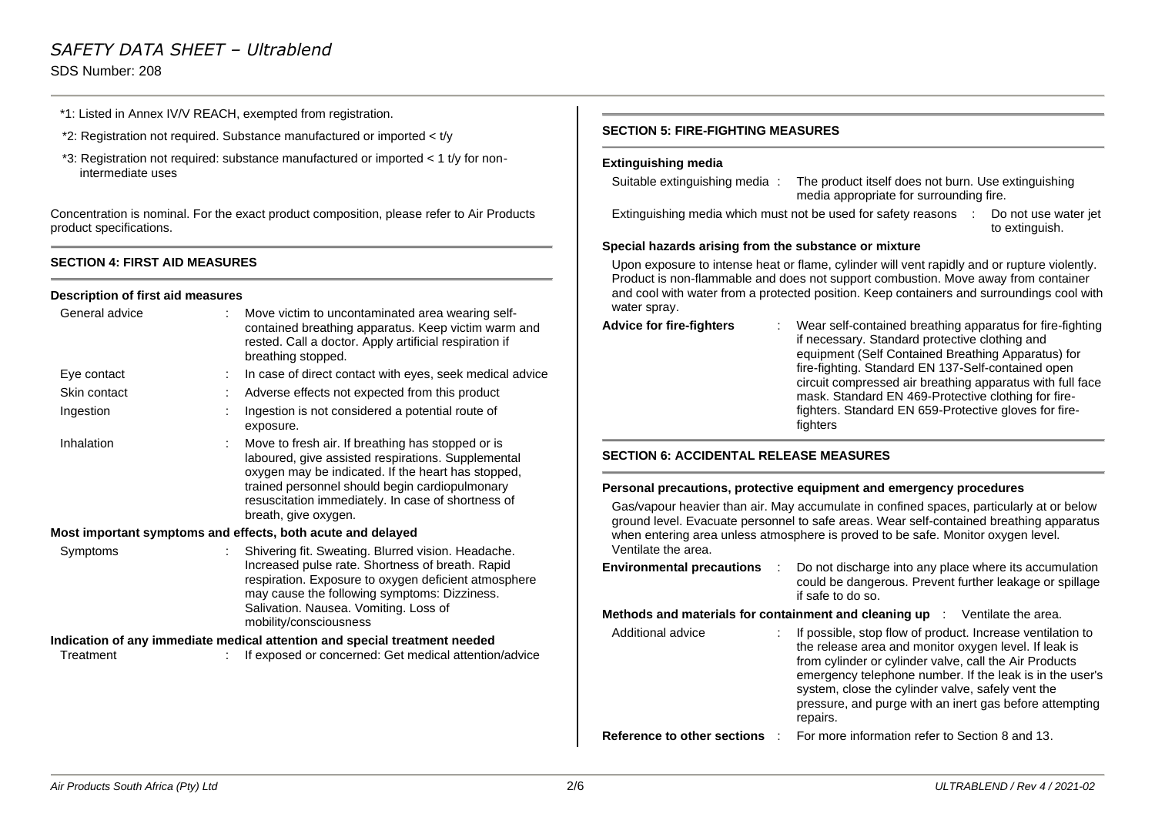SDS Number: 208

- \*1: Listed in Annex IV/V REACH, exempted from registration.
- \*2: Registration not required. Substance manufactured or imported < t/y
- \*3: Registration not required: substance manufactured or imported < 1 t/y for nonintermediate uses

Concentration is nominal. For the exact product composition, please refer to Air Products product specifications.

## **SECTION 4: FIRST AID MEASURES**

#### **Description of first aid measures**

| General advice                                              |                                                                            | Move victim to uncontaminated area wearing self-<br>contained breathing apparatus. Keep victim warm and<br>rested. Call a doctor. Apply artificial respiration if<br>breathing stopped.                                                                                                       |  |  |  |
|-------------------------------------------------------------|----------------------------------------------------------------------------|-----------------------------------------------------------------------------------------------------------------------------------------------------------------------------------------------------------------------------------------------------------------------------------------------|--|--|--|
| Eye contact                                                 |                                                                            | In case of direct contact with eyes, seek medical advice                                                                                                                                                                                                                                      |  |  |  |
| Skin contact                                                |                                                                            | Adverse effects not expected from this product                                                                                                                                                                                                                                                |  |  |  |
| Ingestion                                                   |                                                                            | Ingestion is not considered a potential route of<br>exposure.                                                                                                                                                                                                                                 |  |  |  |
| Inhalation                                                  |                                                                            | Move to fresh air. If breathing has stopped or is<br>laboured, give assisted respirations. Supplemental<br>oxygen may be indicated. If the heart has stopped,<br>trained personnel should begin cardiopulmonary<br>resuscitation immediately. In case of shortness of<br>breath, give oxygen. |  |  |  |
| Most important symptoms and effects, both acute and delayed |                                                                            |                                                                                                                                                                                                                                                                                               |  |  |  |
| Symptoms                                                    |                                                                            | Shivering fit. Sweating. Blurred vision. Headache.<br>Increased pulse rate. Shortness of breath. Rapid<br>respiration. Exposure to oxygen deficient atmosphere<br>may cause the following symptoms: Dizziness.<br>Salivation. Nausea. Vomiting. Loss of<br>mobility/consciousness             |  |  |  |
|                                                             | Indication of any immediate medical attention and special treatment needed |                                                                                                                                                                                                                                                                                               |  |  |  |
| Treatment                                                   |                                                                            | If exposed or concerned: Get medical attention/advice                                                                                                                                                                                                                                         |  |  |  |

#### **SECTION 5: FIRE-FIGHTING MEASURES**

#### **Extinguishing media**

| Suitable extinguishing media: | The product itself does not burn. Use extinguishing |
|-------------------------------|-----------------------------------------------------|
|                               | media appropriate for surrounding fire.             |

Extinguishing media which must not be used for safety reasons : Do not use water jet to extinguish.

#### **Special hazards arising from the substance or mixture**

Upon exposure to intense heat or flame, cylinder will vent rapidly and or rupture violently. Product is non-flammable and does not support combustion. Move away from container and cool with water from a protected position. Keep containers and surroundings cool with water spray.

| <b>Advice for fire-fighters</b> | Wear self-contained breathing apparatus for fire-fighting<br>if necessary. Standard protective clothing and<br>equipment (Self Contained Breathing Apparatus) for<br>fire-fighting. Standard EN 137-Self-contained open<br>circuit compressed air breathing apparatus with full face<br>mask. Standard EN 469-Protective clothing for fire-<br>fighters. Standard EN 659-Protective gloves for fire-<br>fighters |
|---------------------------------|------------------------------------------------------------------------------------------------------------------------------------------------------------------------------------------------------------------------------------------------------------------------------------------------------------------------------------------------------------------------------------------------------------------|
|---------------------------------|------------------------------------------------------------------------------------------------------------------------------------------------------------------------------------------------------------------------------------------------------------------------------------------------------------------------------------------------------------------------------------------------------------------|

#### **SECTION 6: ACCIDENTAL RELEASE MEASURES**

#### **Personal precautions, protective equipment and emergency procedures**

Gas/vapour heavier than air. May accumulate in confined spaces, particularly at or below ground level. Evacuate personnel to safe areas. Wear self-contained breathing apparatus when entering area unless atmosphere is proved to be safe. Monitor oxygen level. Ventilate the area.

| <b>Environmental precautions</b>                      | if safe to do so. | Do not discharge into any place where its accumulation<br>could be dangerous. Prevent further leakage or spillage |
|-------------------------------------------------------|-------------------|-------------------------------------------------------------------------------------------------------------------|
| Methods and materials for containment and cleaning up |                   | Ventilate the area.                                                                                               |

| Additional advice           | If possible, stop flow of product. Increase ventilation to<br>the release area and monitor oxygen level. If leak is<br>from cylinder or cylinder valve, call the Air Products<br>emergency telephone number. If the leak is in the user's<br>system, close the cylinder valve, safely vent the<br>pressure, and purge with an inert gas before attempting<br>repairs. |
|-----------------------------|-----------------------------------------------------------------------------------------------------------------------------------------------------------------------------------------------------------------------------------------------------------------------------------------------------------------------------------------------------------------------|
| Pafaranca to other cactions | For more information refer to Section 8 and 13                                                                                                                                                                                                                                                                                                                        |

**Reference to other sections** : For more information refer to Section 8 and 13.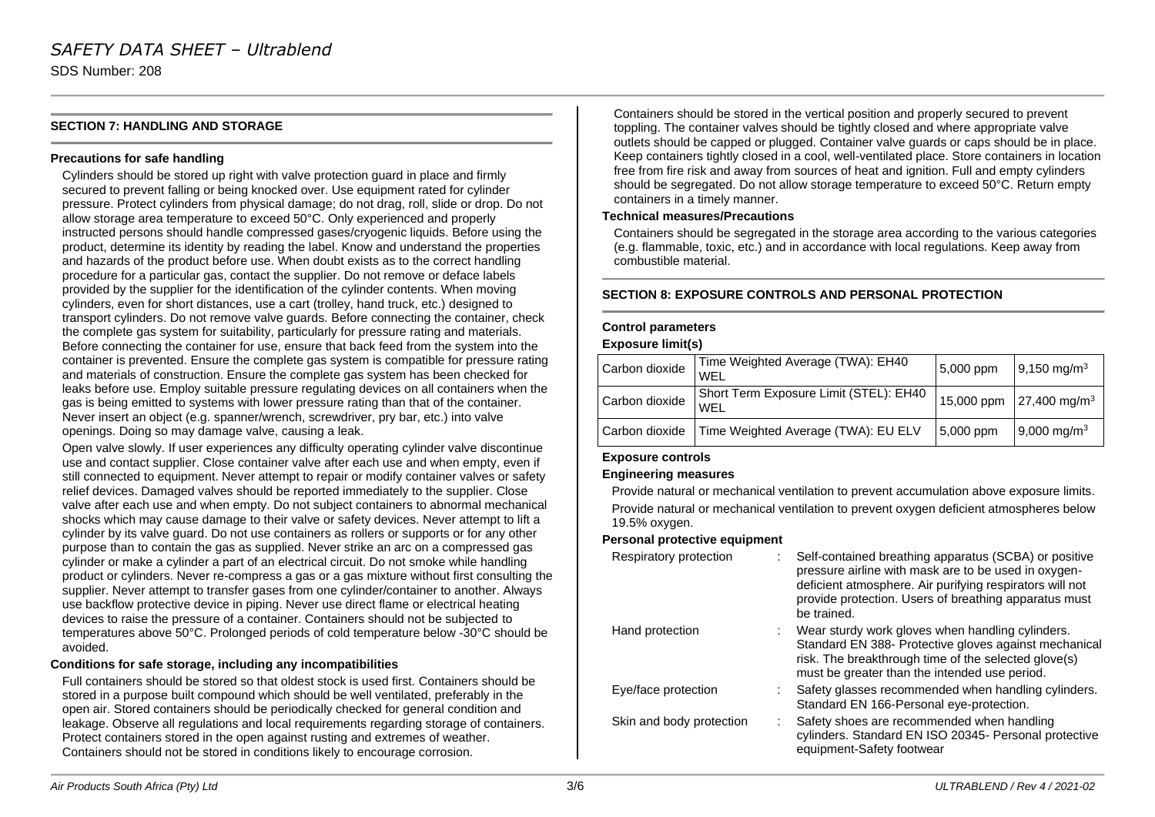#### **SECTION 7: HANDLING AND STORAGE**

#### **Precautions for safe handling**

Cylinders should be stored up right with valve protection guard in place and firmly secured to prevent falling or being knocked over. Use equipment rated for cylinder pressure. Protect cylinders from physical damage; do not drag, roll, slide or drop. Do not allow storage area temperature to exceed 50°C. Only experienced and properly instructed persons should handle compressed gases/cryogenic liquids. Before using the product, determine its identity by reading the label. Know and understand the properties and hazards of the product before use. When doubt exists as to the correct handling procedure for a particular gas, contact the supplier. Do not remove or deface labels provided by the supplier for the identification of the cylinder contents. When moving cylinders, even for short distances, use a cart (trolley, hand truck, etc.) designed to transport cylinders. Do not remove valve guards. Before connecting the container, check the complete gas system for suitability, particularly for pressure rating and materials. Before connecting the container for use, ensure that back feed from the system into the container is prevented. Ensure the complete gas system is compatible for pressure rating and materials of construction. Ensure the complete gas system has been checked for leaks before use. Employ suitable pressure regulating devices on all containers when the gas is being emitted to systems with lower pressure rating than that of the container. Never insert an object (e.g. spanner/wrench, screwdriver, pry bar, etc.) into valve openings. Doing so may damage valve, causing a leak.

Open valve slowly. If user experiences any difficulty operating cylinder valve discontinue use and contact supplier. Close container valve after each use and when empty, even if still connected to equipment. Never attempt to repair or modify container valves or safety relief devices. Damaged valves should be reported immediately to the supplier. Close valve after each use and when empty. Do not subject containers to abnormal mechanical shocks which may cause damage to their valve or safety devices. Never attempt to lift a cylinder by its valve guard. Do not use containers as rollers or supports or for any other purpose than to contain the gas as supplied. Never strike an arc on a compressed gas cylinder or make a cylinder a part of an electrical circuit. Do not smoke while handling product or cylinders. Never re-compress a gas or a gas mixture without first consulting the supplier. Never attempt to transfer gases from one cylinder/container to another. Always use backflow protective device in piping. Never use direct flame or electrical heating devices to raise the pressure of a container. Containers should not be subjected to temperatures above 50°C. Prolonged periods of cold temperature below -30°C should be avoided.

#### **Conditions for safe storage, including any incompatibilities**

Full containers should be stored so that oldest stock is used first. Containers should be stored in a purpose built compound which should be well ventilated, preferably in the open air. Stored containers should be periodically checked for general condition and leakage. Observe all regulations and local requirements regarding storage of containers. Protect containers stored in the open against rusting and extremes of weather. Containers should not be stored in conditions likely to encourage corrosion.

Containers should be stored in the vertical position and properly secured to prevent toppling. The container valves should be tightly closed and where appropriate valve outlets should be capped or plugged. Container valve guards or caps should be in place. Keep containers tightly closed in a cool, well-ventilated place. Store containers in location free from fire risk and away from sources of heat and ignition. Full and empty cylinders should be segregated. Do not allow storage temperature to exceed 50°C. Return empty containers in a timely manner.

#### **Technical measures/Precautions**

Containers should be segregated in the storage area according to the various categories (e.g. flammable, toxic, etc.) and in accordance with local regulations. Keep away from combustible material.

#### **SECTION 8: EXPOSURE CONTROLS AND PERSONAL PROTECTION**

#### **Control parameters**

#### **Exposure limit(s)**

| Carbon dioxide | Time Weighted Average (TWA): EH40<br>WFL      | 5,000 ppm   | $9,150 \text{ mg/m}^3$              |
|----------------|-----------------------------------------------|-------------|-------------------------------------|
| Carbon dioxide | Short Term Exposure Limit (STEL): EH40<br>WFL |             | 15,000 ppm 27,400 mg/m <sup>3</sup> |
| Carbon dioxide | Time Weighted Average (TWA): EU ELV           | $5,000$ ppm | 9,000 mg/m <sup>3</sup>             |

#### **Exposure controls**

#### **Engineering measures**

Provide natural or mechanical ventilation to prevent accumulation above exposure limits. Provide natural or mechanical ventilation to prevent oxygen deficient atmospheres below 19.5% oxygen.

#### **Personal protective equipment**

| Respiratory protection   | Self-contained breathing apparatus (SCBA) or positive<br>pressure airline with mask are to be used in oxygen-<br>deficient atmosphere. Air purifying respirators will not<br>provide protection. Users of breathing apparatus must |
|--------------------------|------------------------------------------------------------------------------------------------------------------------------------------------------------------------------------------------------------------------------------|
|                          | be trained.                                                                                                                                                                                                                        |
| Hand protection          | : Wear sturdy work gloves when handling cylinders.<br>Standard EN 388- Protective gloves against mechanical<br>risk. The breakthrough time of the selected glove(s)<br>must be greater than the intended use period.               |
| Eye/face protection      | : Safety glasses recommended when handling cylinders.<br>Standard EN 166-Personal eye-protection.                                                                                                                                  |
| Skin and body protection | Safety shoes are recommended when handling<br>cylinders. Standard EN ISO 20345- Personal protective<br>equipment-Safety footwear                                                                                                   |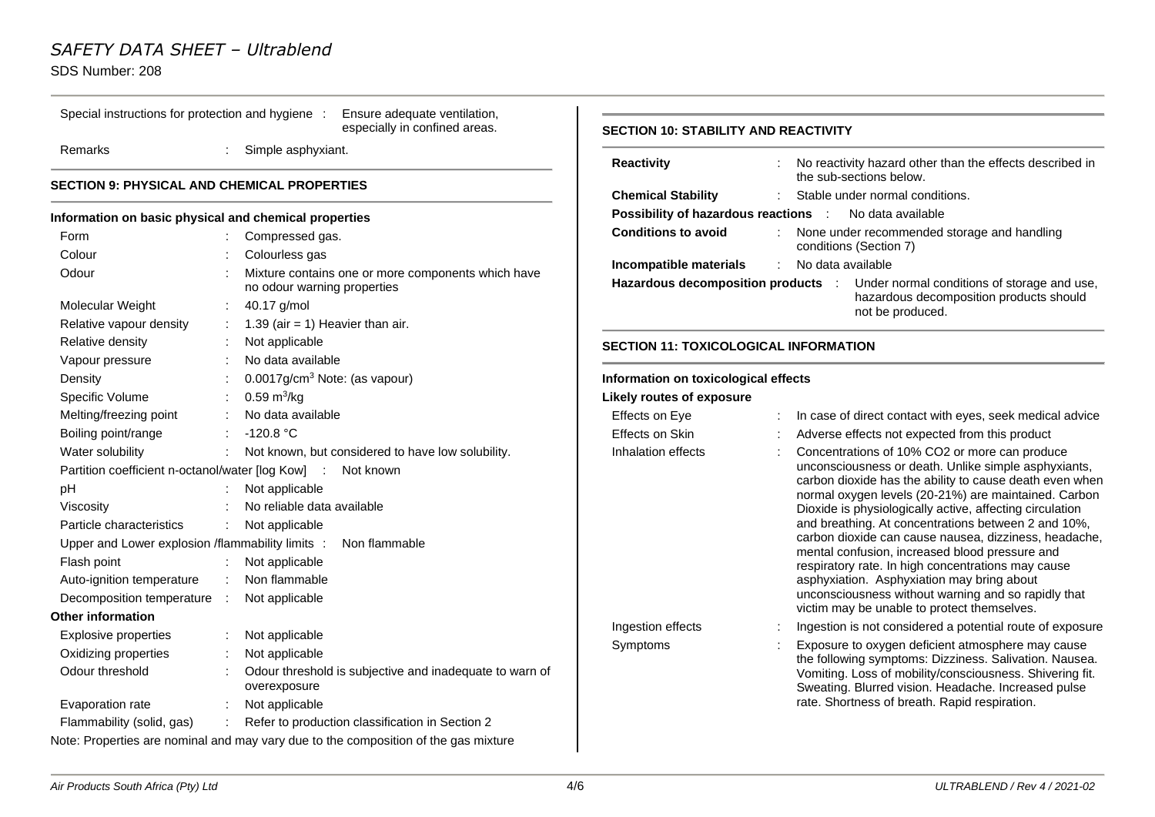# SDS Number: 208

# Special instructions for protection and hygiene : Ensure adequate ventilation,

especially in confined areas.

Remarks : Simple asphyxiant.

# **SECTION 9: PHYSICAL AND CHEMICAL PROPERTIES**

#### **Information on basic physical and chemical properties**

| Form                                       |               | Compressed gas.                                                                     |
|--------------------------------------------|---------------|-------------------------------------------------------------------------------------|
| Colour                                     |               | Colourless gas                                                                      |
| Odour                                      |               | Mixture contains one or more components which have<br>no odour warning properties   |
| Molecular Weight                           |               | 40.17 g/mol                                                                         |
| Relative vapour density                    | ÷             | 1.39 (air = 1) Heavier than air.                                                    |
| Relative density                           |               | Not applicable                                                                      |
| Vapour pressure                            |               | No data available                                                                   |
| Density                                    |               | 0.0017g/cm <sup>3</sup> Note: (as vapour)                                           |
| Specific Volume                            |               | $0.59 \text{ m}^3/\text{kg}$                                                        |
| Melting/freezing point                     | $\mathcal{L}$ | No data available                                                                   |
| Boiling point/range                        |               | : $-120.8 °C$                                                                       |
| Water solubility                           | ÷             | Not known, but considered to have low solubility.                                   |
|                                            |               | Partition coefficient n-octanol/water [log Kow] : Not known                         |
| рH                                         |               | Not applicable                                                                      |
| Viscosity                                  |               | No reliable data available                                                          |
| Particle characteristics                   | ÷             | Not applicable                                                                      |
|                                            |               | Upper and Lower explosion /flammability limits : Non flammable                      |
| Flash point                                | ÷             | Not applicable                                                                      |
| Auto-ignition temperature : Non flammable  |               |                                                                                     |
| Decomposition temperature : Not applicable |               |                                                                                     |
| <b>Other information</b>                   |               |                                                                                     |
| Explosive properties                       | ÷             | Not applicable                                                                      |
| Oxidizing properties                       |               | Not applicable                                                                      |
| Odour threshold                            |               | Odour threshold is subjective and inadequate to warn of<br>overexposure             |
| Evaporation rate                           |               | Not applicable                                                                      |
| Flammability (solid, gas) :                |               | Refer to production classification in Section 2                                     |
|                                            |               | Note: Properties are nominal and may vary due to the composition of the gas mixture |

#### *Air Products South Africa (Pty) Ltd* 4/6 *ULTRABLEND / Rev 4 / 2021-02*

| <b>Reactivity</b>                            | No reactivity hazard other than the effects described in<br>the sub-sections below.                                                                                                                                                                                                                                                                                                                                                                                                                                                                                                                                                                              |
|----------------------------------------------|------------------------------------------------------------------------------------------------------------------------------------------------------------------------------------------------------------------------------------------------------------------------------------------------------------------------------------------------------------------------------------------------------------------------------------------------------------------------------------------------------------------------------------------------------------------------------------------------------------------------------------------------------------------|
| <b>Chemical Stability</b>                    | Stable under normal conditions.                                                                                                                                                                                                                                                                                                                                                                                                                                                                                                                                                                                                                                  |
| Possibility of hazardous reactions           | No data available<br>$\sim$                                                                                                                                                                                                                                                                                                                                                                                                                                                                                                                                                                                                                                      |
| <b>Conditions to avoid</b>                   | None under recommended storage and handling<br>conditions (Section 7)                                                                                                                                                                                                                                                                                                                                                                                                                                                                                                                                                                                            |
| Incompatible materials                       | No data available<br>÷                                                                                                                                                                                                                                                                                                                                                                                                                                                                                                                                                                                                                                           |
| Hazardous decomposition products :           | Under normal conditions of storage and use,<br>hazardous decomposition products should<br>not be produced.                                                                                                                                                                                                                                                                                                                                                                                                                                                                                                                                                       |
| <b>SECTION 11: TOXICOLOGICAL INFORMATION</b> |                                                                                                                                                                                                                                                                                                                                                                                                                                                                                                                                                                                                                                                                  |
| Information on toxicological effects         |                                                                                                                                                                                                                                                                                                                                                                                                                                                                                                                                                                                                                                                                  |
| <b>Likely routes of exposure</b>             |                                                                                                                                                                                                                                                                                                                                                                                                                                                                                                                                                                                                                                                                  |
| Effects on Eye                               | In case of direct contact with eyes, seek medical advice                                                                                                                                                                                                                                                                                                                                                                                                                                                                                                                                                                                                         |
| Effects on Skin                              | Adverse effects not expected from this product                                                                                                                                                                                                                                                                                                                                                                                                                                                                                                                                                                                                                   |
| Inhalation effects                           | Concentrations of 10% CO2 or more can produce<br>unconsciousness or death. Unlike simple asphyxiants,<br>carbon dioxide has the ability to cause death even when<br>normal oxygen levels (20-21%) are maintained. Carbon<br>Dioxide is physiologically active, affecting circulation<br>and breathing. At concentrations between 2 and 10%,<br>carbon dioxide can cause nausea, dizziness, headache,<br>mental confusion, increased blood pressure and<br>respiratory rate. In high concentrations may cause<br>asphyxiation. Asphyxiation may bring about<br>unconsciousness without warning and so rapidly that<br>victim may be unable to protect themselves. |
| Ingestion effects                            | Ingestion is not considered a potential route of exposure                                                                                                                                                                                                                                                                                                                                                                                                                                                                                                                                                                                                        |
| Symptoms                                     | Exposure to oxygen deficient atmosphere may cause<br>the following symptoms: Dizziness. Salivation. Nausea.<br>Vomiting. Loss of mobility/consciousness. Shivering fit.<br>Sweating. Blurred vision. Headache. Increased pulse                                                                                                                                                                                                                                                                                                                                                                                                                                   |

rate. Shortness of breath. Rapid respiration.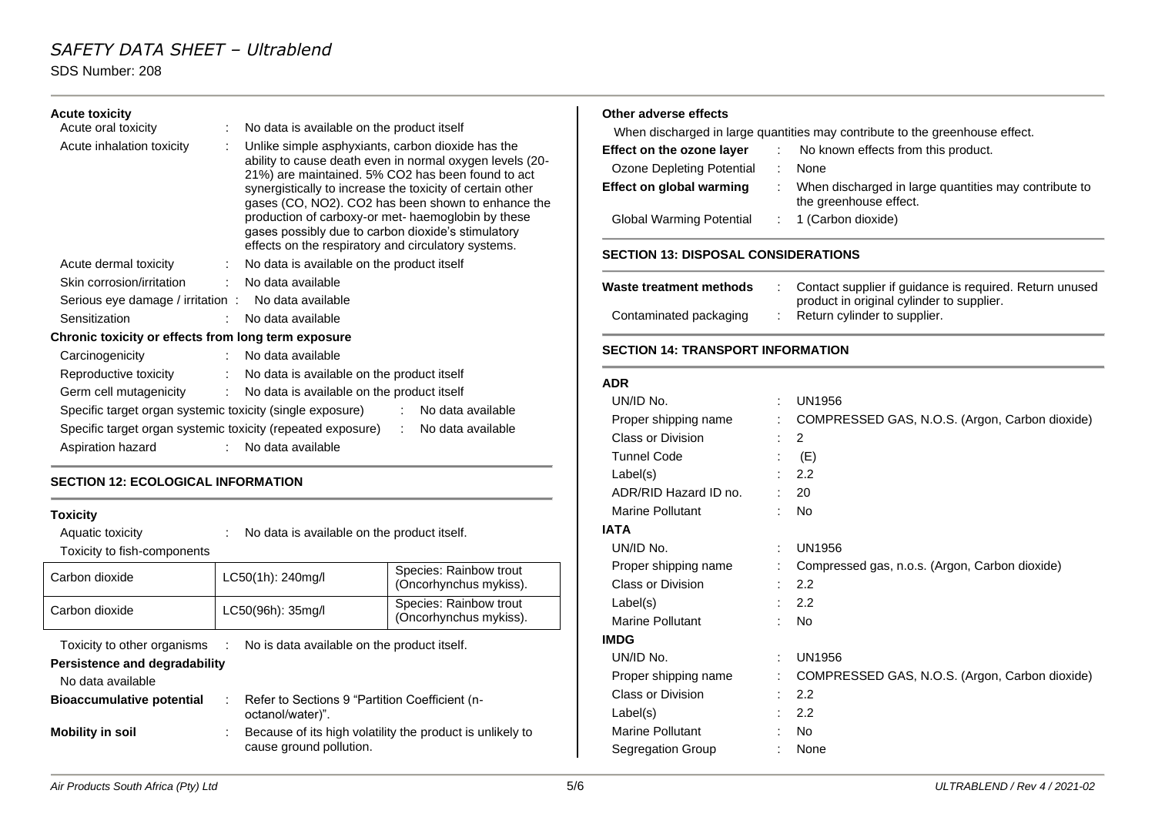## **Acute toxicity**

| Acute oral toxicity                                                                                                                           |                              | No data is available on the product itself                                                                                                                                                                                                                                                                                                                                                                                                               |
|-----------------------------------------------------------------------------------------------------------------------------------------------|------------------------------|----------------------------------------------------------------------------------------------------------------------------------------------------------------------------------------------------------------------------------------------------------------------------------------------------------------------------------------------------------------------------------------------------------------------------------------------------------|
| Acute inhalation toxicity                                                                                                                     | t.                           | Unlike simple asphyxiants, carbon dioxide has the<br>ability to cause death even in normal oxygen levels (20-<br>21%) are maintained. 5% CO2 has been found to act<br>synergistically to increase the toxicity of certain other<br>gases (CO, NO2). CO2 has been shown to enhance the<br>production of carboxy-or met- haemoglobin by these<br>gases possibly due to carbon dioxide's stimulatory<br>effects on the respiratory and circulatory systems. |
| Acute dermal toxicity                                                                                                                         |                              | No data is available on the product itself                                                                                                                                                                                                                                                                                                                                                                                                               |
| Skin corrosion/irritation                                                                                                                     | $\mathbb{R}^n$               | No data available                                                                                                                                                                                                                                                                                                                                                                                                                                        |
| Serious eye damage / irritation : No data available                                                                                           |                              |                                                                                                                                                                                                                                                                                                                                                                                                                                                          |
| Sensitization                                                                                                                                 |                              | : No data available                                                                                                                                                                                                                                                                                                                                                                                                                                      |
| Chronic toxicity or effects from long term exposure                                                                                           |                              |                                                                                                                                                                                                                                                                                                                                                                                                                                                          |
| Carcinogenicity                                                                                                                               | t.                           | No data available                                                                                                                                                                                                                                                                                                                                                                                                                                        |
| Reproductive toxicity                                                                                                                         | $\mathcal{L}_{\mathrm{max}}$ | No data is available on the product itself                                                                                                                                                                                                                                                                                                                                                                                                               |
| Germ cell mutagenicity                                                                                                                        | $\mathcal{L}_{\mathrm{max}}$ | No data is available on the product itself                                                                                                                                                                                                                                                                                                                                                                                                               |
| Specific target organ systemic toxicity (single exposure)<br>Specific target organ systemic toxicity (repeated exposure)<br>Aspiration hazard |                              | No data available<br>No data available<br>÷.<br>No data available                                                                                                                                                                                                                                                                                                                                                                                        |

# **SECTION 12: ECOLOGICAL INFORMATION**

# **Toxicity**

Aquatic toxicity : No data is available on the product itself.

Toxicity to fish-components

| Carbon dioxide                                                                                                                     | LC50(1h): 240mg/l | Species: Rainbow trout<br>(Oncorhynchus mykiss).<br>Species: Rainbow trout<br>(Oncorhynchus mykiss). |  |  |
|------------------------------------------------------------------------------------------------------------------------------------|-------------------|------------------------------------------------------------------------------------------------------|--|--|
| Carbon dioxide                                                                                                                     | LC50(96h): 35mg/l |                                                                                                      |  |  |
| No is data available on the product itself.<br>Toxicity to other organisms :<br>Persistence and degradability<br>No data available |                   |                                                                                                      |  |  |

| <b>Bioaccumulative potential</b> | : Refer to Sections 9 "Partition Coefficient (n-<br>octanol/water)".                 |
|----------------------------------|--------------------------------------------------------------------------------------|
| Mobility in soil                 | Because of its high volatility the product is unlikely to<br>cause ground pollution. |

## **Other adverse effects**

| When discharged in large quantities may contribute to the greenhouse effect. |  |                                                                                 |
|------------------------------------------------------------------------------|--|---------------------------------------------------------------------------------|
| Effect on the ozone layer                                                    |  | No known effects from this product.                                             |
| Ozone Depleting Potential                                                    |  | <b>None</b>                                                                     |
| Effect on global warming                                                     |  | When discharged in large quantities may contribute to<br>the greenhouse effect. |
| Global Warming Potential                                                     |  | $: 1$ (Carbon dioxide)                                                          |

## **SECTION 13: DISPOSAL CONSIDERATIONS**

| Waste treatment methods | Contact supplier if quidance is required. Return unused<br>product in original cylinder to supplier. |
|-------------------------|------------------------------------------------------------------------------------------------------|
| Contaminated packaging  | Return cylinder to supplier.                                                                         |

## **SECTION 14: TRANSPORT INFORMATION**

#### **ADR**

 $\sim$ 

| UN/ID No.               |    | <b>UN1956</b>                                  |
|-------------------------|----|------------------------------------------------|
| Proper shipping name    | t. | COMPRESSED GAS, N.O.S. (Argon, Carbon dioxide) |
| Class or Division       |    | $\overline{2}$                                 |
| <b>Tunnel Code</b>      |    | (E)                                            |
| Label(s)                |    | 2.2                                            |
| ADR/RID Hazard ID no.   |    | 20                                             |
| Marine Pollutant        |    | No                                             |
| IATA                    |    |                                                |
| UN/ID No.               | ÷. | UN1956                                         |
| Proper shipping name    |    | Compressed gas, n.o.s. (Argon, Carbon dioxide) |
| Class or Division       |    | 2.2                                            |
| Label(s)                |    | : 2.2                                          |
| Marine Pollutant        |    | <b>No</b>                                      |
| IMDG                    |    |                                                |
| UN/ID No.               |    | <b>UN1956</b>                                  |
| Proper shipping name    |    | COMPRESSED GAS, N.O.S. (Argon, Carbon dioxide) |
| Class or Division       |    | 2.2                                            |
| Label(s)                |    | 2.2                                            |
| <b>Marine Pollutant</b> |    | <b>No</b>                                      |
| Segregation Group       |    | None                                           |
|                         |    |                                                |